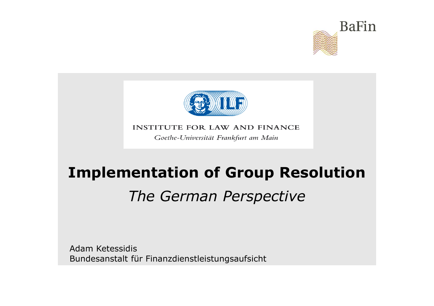



#### **INSTITUTE FOR LAW AND FINANCE**

Goethe-Universität Frankfurt am Main

# **Implementation of Group Resolution**

# *The German Perspective*

Adam KetessidisBundesanstalt für Finanzdienstleistungsaufsicht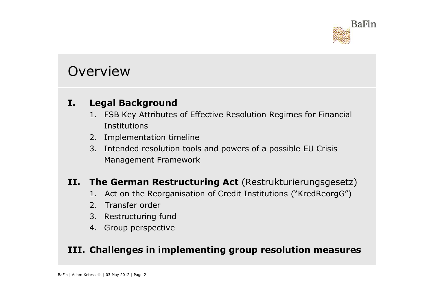

#### Overview

#### **I. Legal Background**

- 1. FSB Key Attributes of Effective Resolution Regimes for Financial **Institutions**
- 2. Implementation timeline
- 3. Intended resolution tools and powers of a possible EU Crisis Management Framework

#### **II. The German Restructuring Act** (Restrukturierungsgesetz)

- 1. Act on the Reorganisation of Credit Institutions ("KredReorgG")
- 2. Transfer order
- 3. Restructuring fund
- 4. Group perspective

#### **III. Challenges in implementing group resolution measures**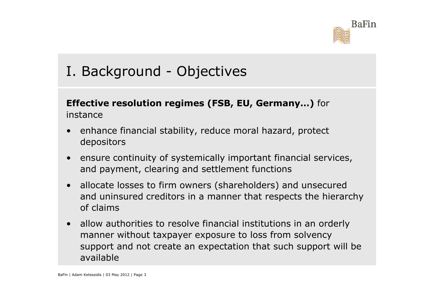

## I. Background - Objectives

#### **Effective resolution regimes (FSB, EU, Germany…)** for instance

- $\bullet$  enhance financial stability, reduce moral hazard, protect depositors
- $\bullet$  ensure continuity of systemically important financial services, and payment, clearing and settlement functions
- $\bullet$  allocate losses to firm owners (shareholders) and unsecured and uninsured creditors in a manner that respects the hierarchy of claims
- $\bullet$  allow authorities to resolve financial institutions in an orderly manner without taxpayer exposure to loss from solvency support and not create an expectation that such support will be available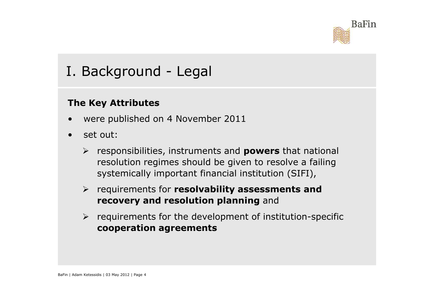

## I. Background - Legal

#### **The Key Attributes**

- •were published on 4 November 2011
- • set out:
	- responsibilities, instruments and **powers** that national resolution regimes should be given to resolve a failing systemically important financial institution (SIFI),
	- requirements for **resolvability assessments and recovery and resolution planning** and
	- > requirements for the development of institution-specific **cooperation agreements**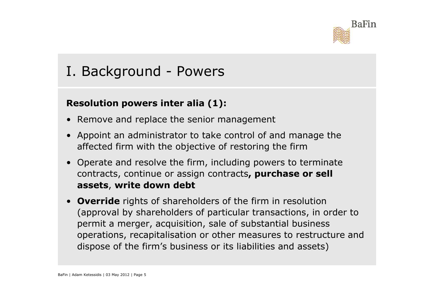

## I. Background - Powers

#### **Resolution powers inter alia (1):**

- $\bullet$ Remove and replace the senior management
- $\bullet$  Appoint an administrator to take control of and manage the affected firm with the objective of restoring the firm
- Operate and resolve the firm, including powers to terminate<br>
contracts, continue or assign contracts, **nurchase or sell** contracts, continue or assign contracts**, purchase or sell assets**, **write down debt**
- • **Override** rights of shareholders of the firm in resolution (approval by shareholders of particular transactions, in order to permit a merger, acquisition, sale of substantial business operations, recapitalisation or other measures to restructure and dispose of the firm's business or its liabilities and assets)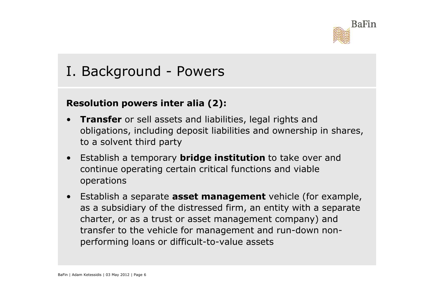

## I. Background - Powers

#### **Resolution powers inter alia (2):**

- • **Transfer** or sell assets and liabilities, legal rights and obligations, including deposit liabilities and ownership in shares, to a solvent third party
- Establish a temporary **bridge institution** to take over and continue operating certain critical functions and viable operations
- $\bullet$  Establish a separate **asset management** vehicle (for example, as a subsidiary of the distressed firm, an entity with a separate charter, or as a trust or asset management company) and transfer to the vehicle for management and run-down nonperforming loans or difficult-to-value assets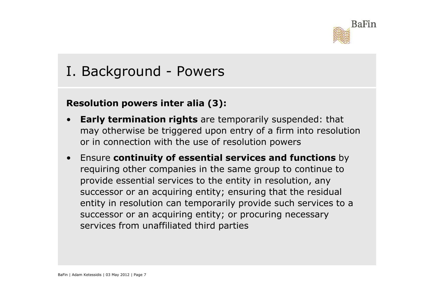

## I. Background - Powers

#### **Resolution powers inter alia (3):**

- • **Early termination rights** are temporarily suspended: that may otherwise be triggered upon entry of a firm into resolution or in connection with the use of resolution powers
- $\bullet$  Ensure **continuity of essential services and functions** by requiring other companies in the same group to continue to provide essential services to the entity in resolution, any successor or an acquiring entity; ensuring that the residual entity in resolution can temporarily provide such services to a successor or an acquiring entity; or procuring necessary services from unaffiliated third parties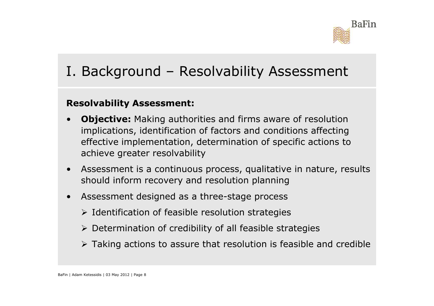

## I. Background – Resolvability Assessment

#### **Resolvability Assessment:**

- • **Objective:** Making authorities and firms aware of resolution implications, identification of factors and conditions affecting effective implementation, determination of specific actions to achieve greater resolvability
- • Assessment is a continuous process, qualitative in nature, results should inform recovery and resolution planning
- $\bullet$  Assessment designed as a three-stage process
	- $\triangleright$  Identification of feasible resolution strategies
	- Determination of credibility of all feasible strategies
	- $\triangleright$  Taking actions to assure that resolution is feasible and credible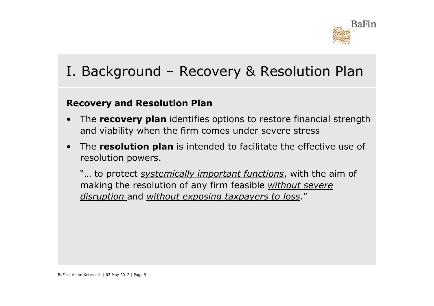

## I. Background – Recovery & Resolution Plan

#### **Recovery and Resolution Plan**

- • The **recovery plan** identifies options to restore financial strength and viability when the firm comes under severe stress
- • The **resolution plan** is intended to facilitate the effective use of resolution powers.

"… to protect *systemically important functions*, with the aim of making the resolution of any firm feasible *without severe disruption* and *without exposing taxpayers to loss*."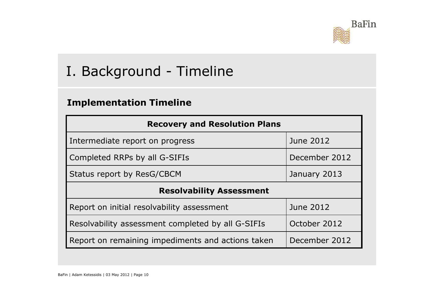

## I. Background - Timeline

#### **Implementation Timeline**

| <b>Recovery and Resolution Plans</b>              |               |
|---------------------------------------------------|---------------|
| Intermediate report on progress                   | June 2012     |
| Completed RRPs by all G-SIFIs                     | December 2012 |
| Status report by ResG/CBCM                        | January 2013  |
| <b>Resolvability Assessment</b>                   |               |
| Report on initial resolvability assessment        | June 2012     |
| Resolvability assessment completed by all G-SIFIs | October 2012  |
| Report on remaining impediments and actions taken | December 2012 |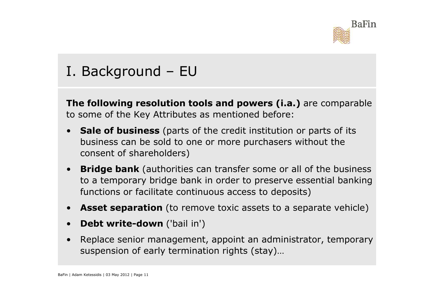

## I. Background – EU

**The following resolution tools and powers (i.a.)** are comparable to some of the Key Attributes as mentioned before:

- $\bullet$  **Sale of business** (parts of the credit institution or parts of its business can be sold to one or more purchasers without the consent of shareholders)
- $\bullet$  **Bridge bank** (authorities can transfer some or all of the business to a temporary bridge bank in order to preserve essential banking functions or facilitate continuous access to deposits)
- $\bullet$ **Asset separation** (to remove toxic assets to a separate vehicle)
- •**Debt write-down** ('bail in')
- • Replace senior management, appoint an administrator, temporary suspension of early termination rights (stay)…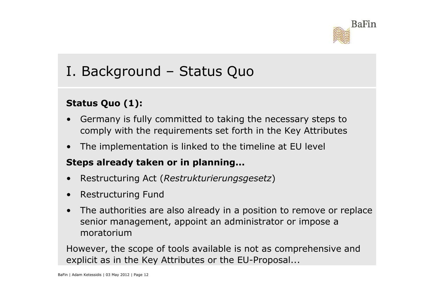

## I. Background – Status Quo

#### **Status Quo (1):**

- • Germany is fully committed to taking the necessary steps to comply with the requirements set forth in the Key Attributes
- •The implementation is linked to the timeline at EU level

#### **Steps already taken or in planning...**

- •Restructuring Act (*Restrukturierungsgesetz*)
- •Restructuring Fund
- $\bullet$  The authorities are also already in a position to remove or replace senior management, appoint an administrator or impose a moratorium

However, the scope of tools available is not as comprehensive and explicit as in the Key Attributes or the EU-Proposal...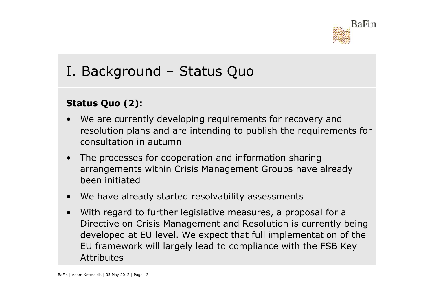

## I. Background – Status Quo

#### **Status Quo (2):**

- • We are currently developing requirements for recovery and resolution plans and are intending to publish the requirements for consultation in autumn
- $\bullet$ The processes for cooperation and information sharing arrangements within Crisis Management Groups have already been initiated
- •We have already started resolvability assessments
- • With regard to further legislative measures, a proposal for a Directive on Crisis Management and Resolution is currently being developed at EU level. We expect that full implementation of the EU framework will largely lead to compliance with the FSB Key Attributes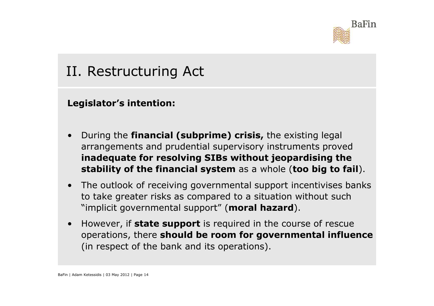

## II. Restructuring Act

**Legislator's intention:**

- • During the **financial (subprime) crisis,** the existing legal arrangements and prudential supervisory instruments proved **inadequate for resolving SIBs without jeopardising the stability of the financial system** as a whole (**too big to fail**).
- The outlook of receiving governmental support incentivises banks<br>to take greater risks as compared to a situation without such to take greater risks as compared to a situation without such "implicit governmental support" (**moral hazard**).
- • However, if **state support** is required in the course of rescue operations, there **should be room for governmental influence**(in respect of the bank and its operations).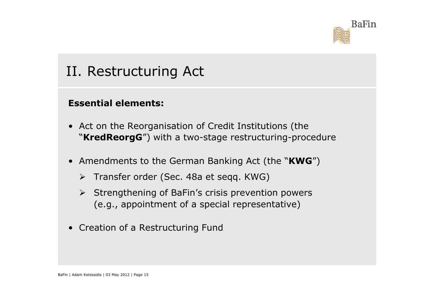

## II. Restructuring Act

#### **Essential elements:**

- Act on the Reorganisation of Credit Institutions (the<br>"KredPeorgC") with a two-stage restructuring-proce "**KredReorgG**") with a two-stage restructuring-procedure
- Amendments to the German Banking Act (the "**KWG**")
	- > Transfer order (Sec. 48a et seqq. KWG)
	- Strengthening of BaFin's crisis prevention powers<br>(e.g., appointment of a special representative) (e.g., appointment of a special representative)
- Creation of a Restructuring Fund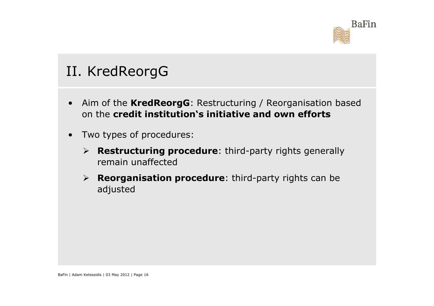

## II. KredReorgG

- • Aim of the **KredReorgG**: Restructuring / Reorganisation based on the **credit institution's initiative and own efforts**
- • Two types of procedures:
	- **Restructuring procedure**: third-party rights generally remain unaffected
	- **Reorganisation procedure**: third-party rights can be adjusted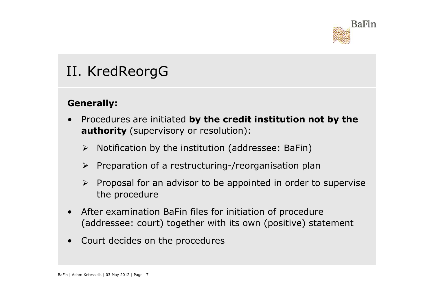

## II. KredReorgG

#### **Generally:**

- • Procedures are initiated **by the credit institution not by the authority** (supervisory or resolution):
	- Notification by the institution (addressee: BaFin)
	- > Preparation of a restructuring-/reorganisation plan
	- > Proposal for an advisor to be appointed in order to supervise the procedure
- • After examination BaFin files for initiation of procedure (addressee: court) together with its own (positive) statement
- •Court decides on the procedures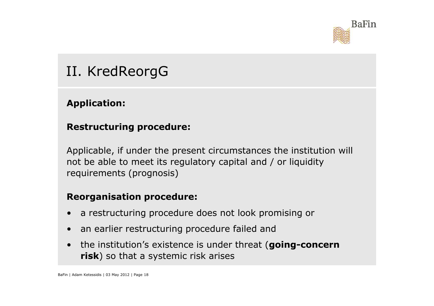

## II. KredReorgG

#### **Application:**

#### **Restructuring procedure:**

Applicable, if under the present circumstances the institution will not be able to meet its regulatory capital and / or liquidity requirements (prognosis)

#### **Reorganisation procedure:**

- •a restructuring procedure does not look promising or
- •an earlier restructuring procedure failed and
- $\bullet$  the institution's existence is under threat (**going-concern risk**) so that a systemic risk arises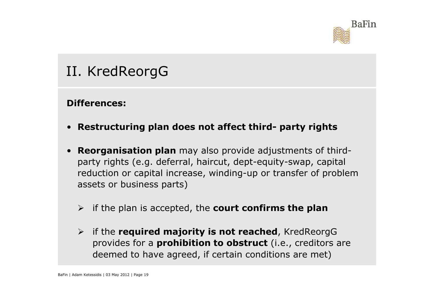

**Differences:**

- **Restructuring plan does not affect third- party rights**
- $\bullet$ **TI. KredReorgG<br>Differences:<br>• Restructuring plan does not affect third- party rights<br>• Re<mark>organisation plan</mark> may also provide adjustments of third**party rights (e.g. deferral, haircut, dept-equity-swap, capital reduction or capital increase, winding-up or transfer of problem assets or business parts)
	- if the plan is accepted, the **court confirms the plan**
	- if the **required majority is not reached**, KredReorgG provides for a **prohibition to obstruct** (i.e., creditors are deemed to have agreed, if certain conditions are met)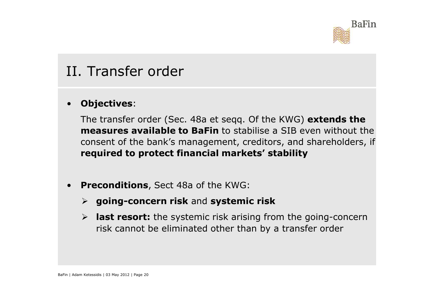

#### II. Transfer order

#### •**Objectives**:

The transfer order (Sec. 48a et seqq. Of the KWG) **extends the measures available to BaFin** to stabilise a SIB even without the consent of the bank's management, creditors, and shareholders, if **required to protect financial markets' stability**

- • **Preconditions**, Sect 48a of the KWG:
	- **going-concern risk** and **systemic risk**
	- **last resort:** the systemic risk arising from the going-concern risk cannot be eliminated other than by a transfer order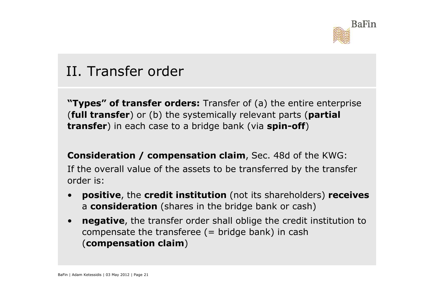

## II. Transfer order

**"Types" of transfer orders:** Transfer of (a) the entire enterprise (**full transfer**) or (b) the systemically relevant parts (**partial transfer**) in each case to a bridge bank (via **spin-off**)

**Consideration / compensation claim**, Sec. 48d of the KWG:If the overall value of the assets to be transferred by the transfer order is:

- • **positive**, the **credit institution** (not its shareholders) **receives** a **consideration** (shares in the bridge bank or cash)
- • **negative**, the transfer order shall oblige the credit institution to compensate the transferee  $($  = bridge bank) in cash (**compensation claim**)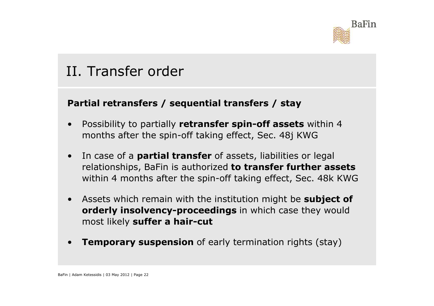

## II. Transfer order

#### **Partial retransfers / sequential transfers / stay**

- • Possibility to partially **retransfer spin-off assets** within 4 months after the spin-off taking effect, Sec. 48j KWG
- • In case of a **partial transfer** of assets, liabilities or legal relationships, BaFin is authorized **to transfer further assets** within 4 months after the spin-off taking effect, Sec. 48k KWG
- $\bullet$  Assets which remain with the institution might be **subject of orderly insolvency-proceedings** in which case they would most likely **suffer a hair-cut**
- •**Temporary suspension** of early termination rights (stay)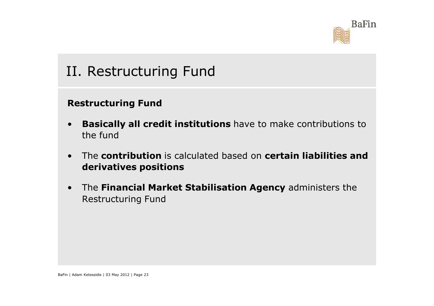

## II. Restructuring Fund

#### **Restructuring Fund**

- • **Basically all credit institutions** have to make contributions to the fund
- $\bullet$  The **contribution** is calculated based on **certain liabilities and derivatives positions**
- $\bullet$  The **Financial Market Stabilisation Agency** administers the Restructuring Fund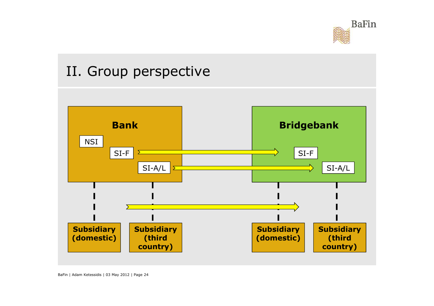

## II. Group perspective



BaFin | Adam Ketessidis | 03 May 2012 | Page 24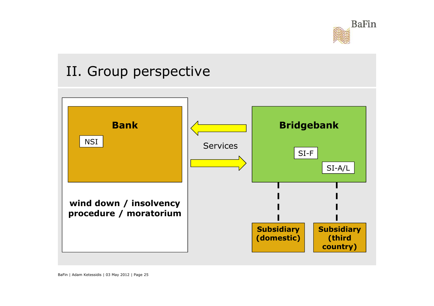

## II. Group perspective

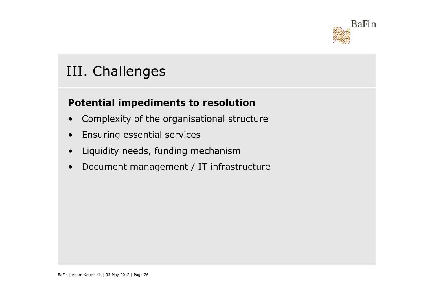

## III. Challenges

#### **Potential impediments to resolution**

- •Complexity of the organisational structure
- •Ensuring essential services
- •Liquidity needs, funding mechanism
- Document management / IT infrastructure •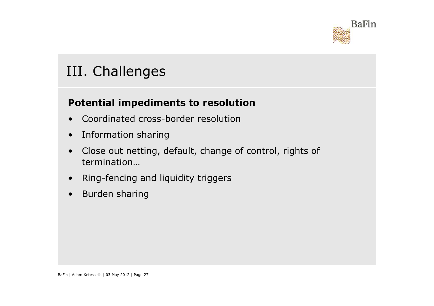

## III. Challenges

#### **Potential impediments to resolution**

- •Coordinated cross-border resolution
- •Information sharing
- • Close out netting, default, change of control, rights of termination…
- $\bullet$ Ring-fencing and liquidity triggers
- •Burden sharing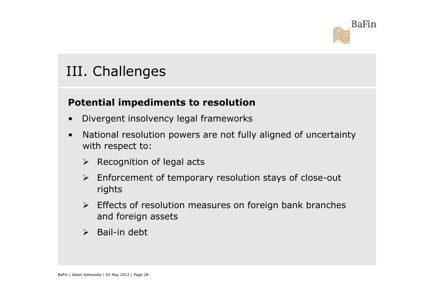

## III. Challenges

#### **Potential impediments to resolution**

- •Divergent insolvency legal frameworks
- • National resolution powers are not fully aligned of uncertainty with respect to:
	- $\triangleright$  Recognition of legal acts
	- Enforcement of temporary resolution stays of close-out rights
	- Effects of resolution measures on foreign bank branches<br>and foreign assets and foreign assets
	- **►** Bail-in debt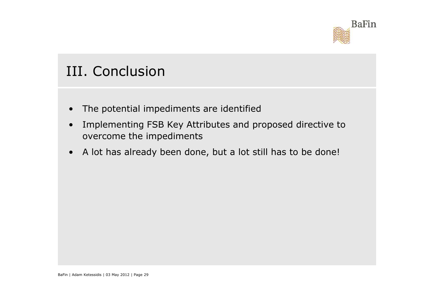

## III. Conclusion

- •The potential impediments are identified
- • Implementing FSB Key Attributes and proposed directive to overcome the impediments
- •A lot has already been done, but a lot still has to be done!